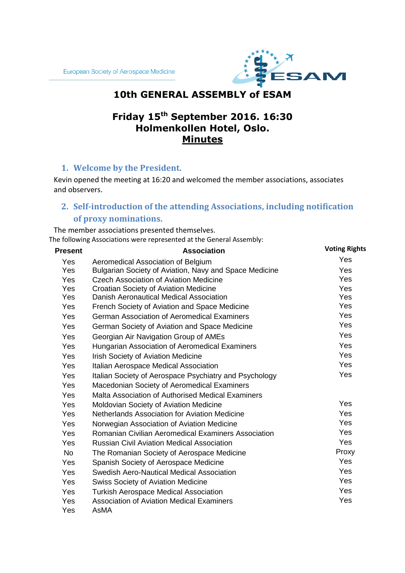

# **10th GENERAL ASSEMBLY of ESAM**

# **Friday 15th September 2016. 16:30 Holmenkollen Hotel, Oslo. Minutes**

# **1. Welcome by the President.**

Kevin opened the meeting at 16:20 and welcomed the member associations, associates and observers.

# **2. Self-introduction of the attending Associations, including notification of proxy nominations.**

The member associations presented themselves. The following Associations were represented at the General Assembly:

| <b>Present</b> | <b>Association</b>                                     | <b>Voting Rights</b> |
|----------------|--------------------------------------------------------|----------------------|
| Yes            | Aeromedical Association of Belgium                     | Yes                  |
| Yes            | Bulgarian Society of Aviation, Navy and Space Medicine | <b>Yes</b>           |
| Yes            | <b>Czech Association of Aviation Medicine</b>          | Yes                  |
| Yes            | Croatian Society of Aviation Medicine                  | Yes                  |
| Yes            | Danish Aeronautical Medical Association                | Yes                  |
| Yes            | French Society of Aviation and Space Medicine          | Yes                  |
| Yes            | <b>German Association of Aeromedical Examiners</b>     | Yes                  |
| Yes            | German Society of Aviation and Space Medicine          | Yes                  |
| Yes            | Georgian Air Navigation Group of AMEs                  | Yes                  |
| Yes            | Hungarian Association of Aeromedical Examiners         | Yes                  |
| Yes            | <b>Irish Society of Aviation Medicine</b>              | Yes                  |
| Yes            | Italian Aerospace Medical Association                  | Yes                  |
| Yes            | Italian Society of Aerospace Psychiatry and Psychology | Yes                  |
| Yes            | Macedonian Society of Aeromedical Examiners            |                      |
| Yes            | Malta Association of Authorised Medical Examiners      |                      |
| Yes            | Moldovian Society of Aviation Medicine                 | Yes                  |
| Yes            | Netherlands Association for Aviation Medicine          | Yes                  |
| Yes            | Norwegian Association of Aviation Medicine             | Yes                  |
| Yes            | Romanian Civilian Aeromedical Examiners Association    | Yes                  |
| Yes            | <b>Russian Civil Aviation Medical Association</b>      | Yes                  |
| <b>No</b>      | The Romanian Society of Aerospace Medicine             | Proxy                |
| Yes            | Spanish Society of Aerospace Medicine                  | Yes                  |
| Yes            | Swedish Aero-Nautical Medical Association              | Yes                  |
| Yes            | <b>Swiss Society of Aviation Medicine</b>              | Yes                  |
| Yes            | <b>Turkish Aerospace Medical Association</b>           | Yes                  |
| Yes            | <b>Association of Aviation Medical Examiners</b>       | Yes                  |
| Yes            | AsMA                                                   |                      |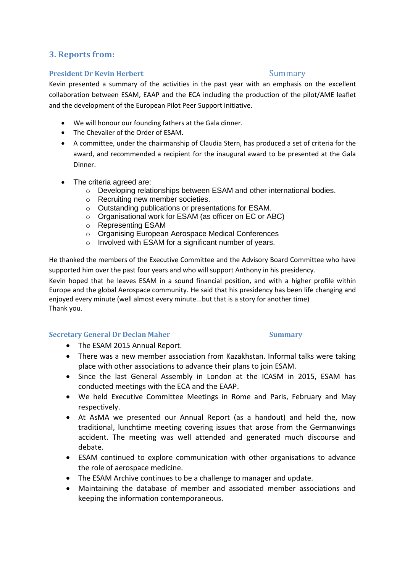# **3. Reports from:**

#### **President Dr Kevin Herbert** Summary

Kevin presented a summary of the activities in the past year with an emphasis on the excellent collaboration between ESAM, EAAP and the ECA including the production of the pilot/AME leaflet and the development of the European Pilot Peer Support Initiative.

- We will honour our founding fathers at the Gala dinner.
- The Chevalier of the Order of ESAM.
- A committee, under the chairmanship of Claudia Stern, has produced a set of criteria for the award, and recommended a recipient for the inaugural award to be presented at the Gala Dinner.
- The criteria agreed are:
	- o Developing relationships between ESAM and other international bodies.
	- o Recruiting new member societies.
	- o Outstanding publications or presentations for ESAM.
	- o Organisational work for ESAM (as officer on EC or ABC)
	- o Representing ESAM
	- o Organising European Aerospace Medical Conferences
	- o Involved with ESAM for a significant number of years.

He thanked the members of the Executive Committee and the Advisory Board Committee who have supported him over the past four years and who will support Anthony in his presidency.

Kevin hoped that he leaves ESAM in a sound financial position, and with a higher profile within Europe and the global Aerospace community. He said that his presidency has been life changing and enjoyed every minute (well almost every minute...but that is a story for another time) Thank you.

#### **Secretary General Dr Declan Maher Summary**

- The ESAM 2015 Annual Report.
- There was a new member association from Kazakhstan. Informal talks were taking place with other associations to advance their plans to join ESAM.
- Since the last General Assembly in London at the ICASM in 2015, ESAM has conducted meetings with the ECA and the EAAP.
- We held Executive Committee Meetings in Rome and Paris, February and May respectively.
- At AsMA we presented our Annual Report (as a handout) and held the, now traditional, lunchtime meeting covering issues that arose from the Germanwings accident. The meeting was well attended and generated much discourse and debate.
- ESAM continued to explore communication with other organisations to advance the role of aerospace medicine.
- The ESAM Archive continues to be a challenge to manager and update.
- Maintaining the database of member and associated member associations and keeping the information contemporaneous.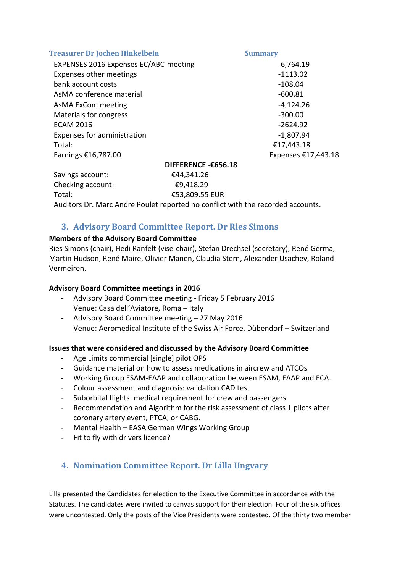| <b>Summary</b>      |
|---------------------|
| $-6,764.19$         |
| $-1113.02$          |
| $-108.04$           |
| $-600.81$           |
| $-4,124.26$         |
| $-300.00$           |
| $-2624.92$          |
| $-1,807.94$         |
| €17,443.18          |
| Expenses €17,443.18 |
| DIFFERENCE -€656.18 |
|                     |

Savings account: €44,341.26 Checking account: €9,418.29

Total: €53,809.55 EUR

Auditors Dr. Marc Andre Poulet reported no conflict with the recorded accounts.

# **3. Advisory Board Committee Report. Dr Ries Simons**

#### **Members of the Advisory Board Committee**

Ries Simons (chair), Hedi Ranfelt (vise-chair), Stefan Drechsel (secretary), René Germa, Martin Hudson, René Maire, Olivier Manen, Claudia Stern, Alexander Usachev, Roland Vermeiren.

### **Advisory Board Committee meetings in 2016**

- Advisory Board Committee meeting Friday 5 February 2016 Venue: Casa dell'Aviatore, Roma – Italy
- Advisory Board Committee meeting 27 May 2016 Venue: Aeromedical Institute of the Swiss Air Force, Dübendorf – Switzerland

#### **Issues that were considered and discussed by the Advisory Board Committee**

- Age Limits commercial [single] pilot OPS
- Guidance material on how to assess medications in aircrew and ATCOs
- Working Group ESAM-EAAP and collaboration between ESAM, EAAP and ECA.
- Colour assessment and diagnosis: validation CAD test
- Suborbital flights: medical requirement for crew and passengers
- Recommendation and Algorithm for the risk assessment of class 1 pilots after coronary artery event, PTCA, or CABG.
- Mental Health EASA German Wings Working Group
- Fit to fly with drivers licence?

# **4. Nomination Committee Report. Dr Lilla Ungvary**

Lilla presented the Candidates for election to the Executive Committee in accordance with the Statutes. The candidates were invited to canvas support for their election. Four of the six offices were uncontested. Only the posts of the Vice Presidents were contested. Of the thirty two member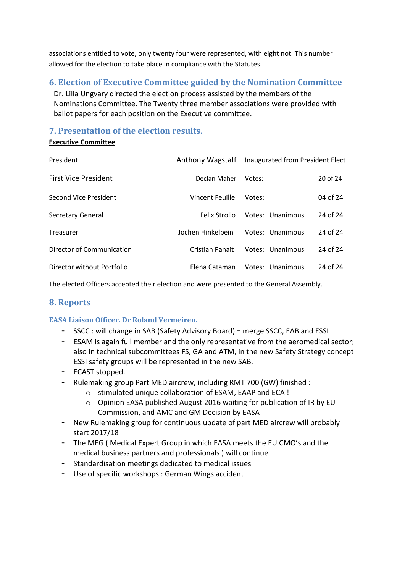associations entitled to vote, only twenty four were represented, with eight not. This number allowed for the election to take place in compliance with the Statutes.

# **6. Election of Executive Committee guided by the Nomination Committee**

Dr. Lilla Ungvary directed the election process assisted by the members of the Nominations Committee. The Twenty three member associations were provided with ballot papers for each position on the Executive committee.

## **7. Presentation of the election results.**

#### **Executive Committee**

| President                   | Anthony Wagstaff   | Inaugurated from President Elect |          |
|-----------------------------|--------------------|----------------------------------|----------|
| <b>First Vice President</b> | Declan Maher       | Votes:                           | 20 of 24 |
| Second Vice President       | Vincent Feuille    | Votes:                           | 04 of 24 |
| <b>Secretary General</b>    | Felix Strollo      | Votes: Unanimous                 | 24 of 24 |
| Treasurer                   | Jochen Hinkelbein. | Votes: Unanimous                 | 24 of 24 |
| Director of Communication   | Cristian Panait    | Votes: Unanimous                 | 24 of 24 |
| Director without Portfolio  | Elena Cataman      | Votes: Unanimous                 | 24 of 24 |

The elected Officers accepted their election and were presented to the General Assembly.

# **8. Reports**

### **EASA Liaison Officer. Dr Roland Vermeiren.**

- SSCC : will change in SAB (Safety Advisory Board) = merge SSCC, EAB and ESSI
- ESAM is again full member and the only representative from the aeromedical sector; also in technical subcommittees FS, GA and ATM, in the new Safety Strategy concept ESSI safety groups will be represented in the new SAB.
- ECAST stopped.
- Rulemaking group Part MED aircrew, including RMT 700 (GW) finished :
	- o stimulated unique collaboration of ESAM, EAAP and ECA !
	- $\circ$  Opinion EASA published August 2016 waiting for publication of IR by EU Commission, and AMC and GM Decision by EASA
- New Rulemaking group for continuous update of part MED aircrew will probably start 2017/18
- The MEG ( Medical Expert Group in which EASA meets the EU CMO's and the medical business partners and professionals ) will continue
- Standardisation meetings dedicated to medical issues
- Use of specific workshops : German Wings accident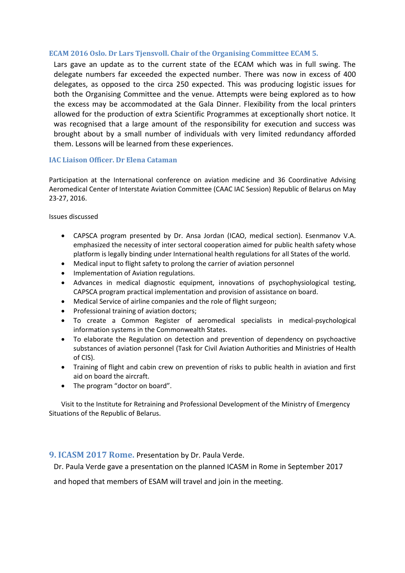#### **ECAM 2016 Oslo. Dr Lars Tjensvoll. Chair of the Organising Committee ECAM 5.**

Lars gave an update as to the current state of the ECAM which was in full swing. The delegate numbers far exceeded the expected number. There was now in excess of 400 delegates, as opposed to the circa 250 expected. This was producing logistic issues for both the Organising Committee and the venue. Attempts were being explored as to how the excess may be accommodated at the Gala Dinner. Flexibility from the local printers allowed for the production of extra Scientific Programmes at exceptionally short notice. It was recognised that a large amount of the responsibility for execution and success was brought about by a small number of individuals with very limited redundancy afforded them. Lessons will be learned from these experiences.

#### **IAC Liaison Officer. Dr Elena Cataman**

Participation at the International conference on aviation medicine and 36 Coordinative Advising Aeromedical Center of Interstate Aviation Committee (CAAC IAC Session) Republic of Belarus on May 23-27, 2016.

Issues discussed

- CAPSCA program presented by Dr. Ansa Jordan (ICAO, medical section). Esenmanov V.A. emphasized the necessity of inter sectoral cooperation aimed for public health safety whose platform is legally binding under International health regulations for all States of the world.
- Medical input to flight safety to prolong the carrier of aviation personnel
- Implementation of Aviation regulations.
- Advances in medical diagnostic equipment, innovations of psychophysiological testing, CAPSCA program practical implementation and provision of assistance on board.
- Medical Service of airline companies and the role of flight surgeon;
- Professional training of aviation doctors:
- To create a Common Register of aeromedical specialists in medical-psychological information systems in the Commonwealth States.
- To elaborate the Regulation on detection and prevention of dependency on psychoactive substances of aviation personnel (Task for Civil Aviation Authorities and Ministries of Health of CIS).
- Training of flight and cabin crew on prevention of risks to public health in aviation and first aid on board the aircraft.
- The program "doctor on board".

Visit to the Institute for Retraining and Professional Development of the Ministry of Emergency Situations of the Republic of Belarus.

#### **9. ICASM 2017 Rome.** Presentation by Dr. Paula Verde.

Dr. Paula Verde gave a presentation on the planned ICASM in Rome in September 2017

and hoped that members of ESAM will travel and join in the meeting.